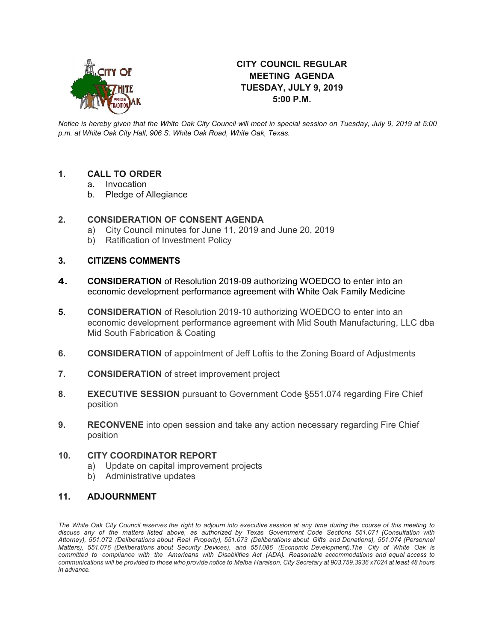

## **CITY COUNCIL REGULAR MEETING AGENDA TUESDAY, JULY 9, 2019 5:00 P.M.**

*Notice is hereby given that the White Oak City Council will meet in special session on Tuesday, July 9, 2019 at 5:00 p.m. at White Oak City Hall, 906 S. White Oak Road, White Oak, Texas.*

# **1. CALL TO ORDER**

- **Invocation**
- b. Pledge of Allegiance

### **2. CONSIDERATION OF CONSENT AGENDA**

- a) City Council minutes for June 11, 2019 and June 20, 2019
- b) Ratification of Investment Policy

### **3. CITIZENS COMMENTS**

- **4. CONSIDERATION** of Resolution 2019-09 authorizing WOEDCO to enter into an economic development performance agreement with White Oak Family Medicine
- **5. CONSIDERATION** of Resolution 2019-10 authorizing WOEDCO to enter into an economic development performance agreement with Mid South Manufacturing, LLC dba Mid South Fabrication & Coating
- **6. CONSIDERATION** of appointment of Jeff Loftis to the Zoning Board of Adjustments
- **7. CONSIDERATION** of street improvement project
- **8. EXECUTIVE SESSION** pursuant to Government Code §551.074 regarding Fire Chief position
- **9. RECONVENE** into open session and take any action necessary regarding Fire Chief position

#### **10. CITY COORDINATOR REPORT**

- a) Update on capital improvement projects
- b) Administrative updates

### **11. ADJOURNMENT**

The White Oak City Council reserves the right to adjourn into executive session at any time during the course of this meeting to discuss any of the matters listed above, as authorized by Texas Government Code Sections 551.071 (Consultation with *Attorney), 551.072 (Deliberations about Real Property), 551.073 (Deliberations about Gifts and Donations), 551.074 (Personnel Matters), 551.076 (Deliberations about Security Devices), and 551.086 (Economic Development).The City of White Oak is committed to compliance with the Americans with Disabilities Act (ADA). Reasonable accommodations and equal access to* communications will be provided to those who provide notice to Melba Haralson, City Secretary at 903.759.3936 x7024 at least 48 hours *in advance.*